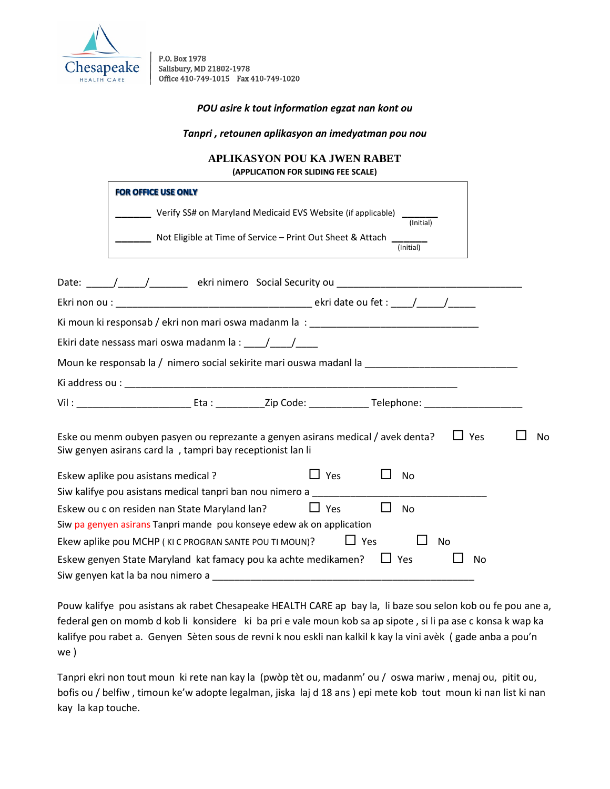

P.O. Box 1978 Salisbury, MD 21802-1978 Office 410-749-1015 Fax 410-749-1020

*POU asire k tout information egzat nan kont ou*

*Tanpri , retounen aplikasyon an imedyatman pou nou*

## **APLIKASYON POU KA JWEN RABET (APPLICATION FOR SLIDING FEE SCALE)**

| <b>FOR OFFICE USE ONLY</b>                                                                                                                                  |    |
|-------------------------------------------------------------------------------------------------------------------------------------------------------------|----|
| Verify SS# on Maryland Medicaid EVS Website (if applicable) ______<br>(Initial)                                                                             |    |
| Not Eligible at Time of Service - Print Out Sheet & Attach<br>$($ Initial $)$                                                                               |    |
|                                                                                                                                                             |    |
|                                                                                                                                                             |    |
|                                                                                                                                                             |    |
| Ekiri date nessass mari oswa madanm la : ____/____/_____                                                                                                    |    |
|                                                                                                                                                             |    |
|                                                                                                                                                             |    |
|                                                                                                                                                             |    |
| Eske ou menm oubyen pasyen ou reprezante a genyen asirans medical / avek denta?<br>$\Box$ Yes<br>Siw genyen asirans card la, tampri bay receptionist lan li | No |
| $\Box$ Yes<br>Eskew aplike pou asistans medical?<br>No.                                                                                                     |    |
| Siw kalifye pou asistans medical tanpri ban nou nimero a                                                                                                    |    |
| Eskew ou c on residen nan State Maryland lan?<br>$\Box$ Yes<br>$\perp$<br>No                                                                                |    |
| Siw pa genyen asirans Tanpri mande pou konseye edew ak on application                                                                                       |    |
| Ekew aplike pou MCHP (KIC PROGRAN SANTE POU TI MOUN)?<br>$\Box$ Yes<br>No                                                                                   |    |
| Eskew genyen State Maryland kat famacy pou ka achte medikamen?<br>$\Box$ Yes                                                                                | No |
|                                                                                                                                                             |    |

Pouw kalifye pou asistans ak rabet Chesapeake HEALTH CARE ap bay la, li baze sou selon kob ou fe pou ane a, federal gen on momb d kob li konsidere ki ba pri e vale moun kob sa ap sipote , si li pa ase c konsa k wap ka kalifye pou rabet a. Genyen Sèten sous de revni k nou eskli nan kalkil k kay la vini avèk ( gade anba a pou'n we )

Tanpri ekri non tout moun ki rete nan kay la (pwòp tèt ou, madanm' ou / oswa mariw , menaj ou, pitit ou, bofis ou / belfiw , timoun ke'w adopte legalman, jiska laj d 18 ans ) epi mete kob tout moun ki nan list ki nan kay la kap touche.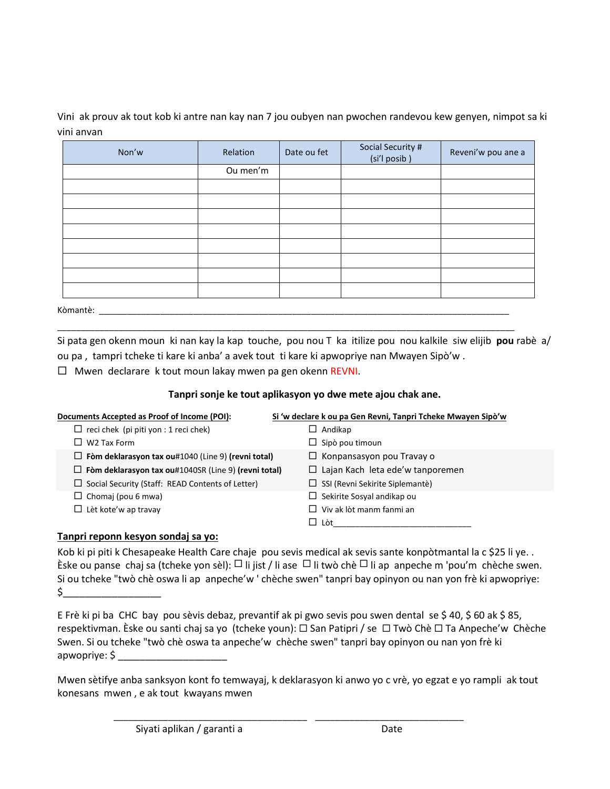Vini ak prouv ak tout kob ki antre nan kay nan 7 jou oubyen nan pwochen randevou kew genyen, nimpot sa ki vini anvan

| Non'w    | Relation | Date ou fet | Social Security #<br>(si'l posib) | Reveni'w pou ane a |
|----------|----------|-------------|-----------------------------------|--------------------|
|          | Ou men'm |             |                                   |                    |
|          |          |             |                                   |                    |
|          |          |             |                                   |                    |
|          |          |             |                                   |                    |
|          |          |             |                                   |                    |
|          |          |             |                                   |                    |
|          |          |             |                                   |                    |
|          |          |             |                                   |                    |
|          |          |             |                                   |                    |
| Kòmantè: |          |             |                                   |                    |

Si pata gen okenn moun ki nan kay la kap touche, pou nou T ka itilize pou nou kalkile siw elijib **pou** rabè a/ ou pa , tampri tcheke ti kare ki anba' a avek tout ti kare ki apwopriye nan Mwayen Sipò'w .

\_\_\_\_\_\_\_\_\_\_\_\_\_\_\_\_\_\_\_\_\_\_\_\_\_\_\_\_\_\_\_\_\_\_\_\_\_\_\_\_\_\_\_\_\_\_\_\_\_\_\_\_\_\_\_\_\_\_\_\_\_\_\_\_\_\_\_\_\_\_\_\_\_\_\_\_\_\_\_\_\_\_\_\_\_\_\_\_\_\_\_\_\_\_\_\_\_

 $\Box$  Mwen declarare k tout moun lakay mwen pa gen okenn REVNI.

## **Tanpri sonje ke tout aplikasyon yo dwe mete ajou chak ane.**

| Documents Accepted as Proof of Income (POI):              | Si 'w declare k ou pa Gen Revni, Tanpri Tcheke Mwayen Sipò'w |
|-----------------------------------------------------------|--------------------------------------------------------------|
| reci chek (pi piti yon : 1 reci chek)                     | Andikap<br>⊔                                                 |
| W <sub>2</sub> Tax Form                                   | $\Box$ Sipò pou timoun                                       |
| Fòm deklarasyon tax ou#1040 (Line 9) (revni total)<br>ப   | $\Box$ Konpansasyon pou Travay o                             |
| Fòm deklarasyon tax ou#1040SR (Line 9) (revni total)<br>ப | $\Box$ Lajan Kach leta ede'w tanporemen                      |
| $\Box$ Social Security (Staff: READ Contents of Letter)   | $\Box$ SSI (Revni Sekirite Siplemantè)                       |
| $\Box$ Chomaj (pou 6 mwa)                                 | $\Box$ Sekirite Sosyal andikap ou                            |
| $\Box$ Lèt kote'w ap travay                               | $\Box$ Viv ak lòt manm fanmi an                              |
|                                                           | $\Box$ Lòt                                                   |

## **Tanpri reponn kesyon sondaj sa yo:**

Kob ki pi piti k Chesapeake Health Care chaje pou sevis medical ak sevis sante konpòtmantal la c \$25 li ye. . Èske ou panse chaj sa (tcheke yon sèl):  $\Box$  li jist / li ase  $\Box$  li twò chè  $\Box$  li ap anpeche m 'pou'm chèche swen. Si ou tcheke "twò chè oswa li ap anpeche'w ' chèche swen" tanpri bay opinyon ou nan yon frè ki apwopriye:  $\sharp$ 

E Frè ki pi ba CHC bay pou sèvis debaz, prevantif ak pi gwo sevis pou swen dental se \$ 40, \$ 60 ak \$ 85, respektivman. Èske ou santi chaj sa yo (tcheke youn): □ San Patipri / se □ Twò Chè □ Ta Anpeche'w Chèche Swen. Si ou tcheke "twò chè oswa ta anpeche'w chèche swen" tanpri bay opinyon ou nan yon frè ki apwopriye: \$

Mwen sètifye anba sanksyon kont fo temwayaj, k deklarasyon ki anwo yo c vrè, yo egzat e yo rampli ak tout konesans mwen , e ak tout kwayans mwen

\_\_\_\_\_\_\_\_\_\_\_\_\_\_\_\_\_\_\_\_\_\_\_\_\_\_\_\_\_\_\_\_\_\_\_\_\_\_\_ \_\_\_\_\_\_\_\_\_\_\_\_\_\_\_\_\_\_\_\_\_\_\_\_\_\_\_\_\_\_